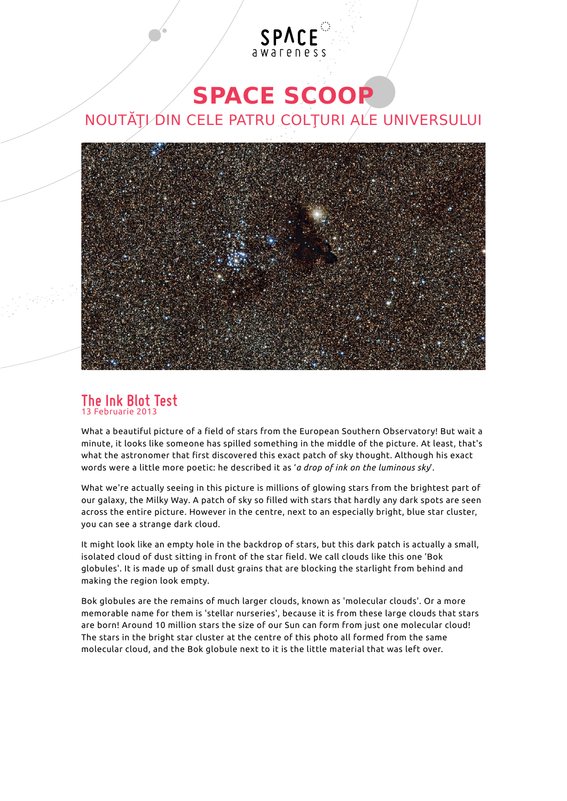# SPACE

### **SPACE SCOOP**

### NOUTĂȚI DIN CELE PATRU COLȚURI ALE UNIVERSULUI



#### **The Ink Blot Test** 13 Februarie 2013

What a beautiful picture of a field of stars from the European Southern Observatory! But wait a minute, it looks like someone has spilled something in the middle of the picture. At least, that's what the astronomer that first discovered this exact patch of sky thought. Although his exact words were a little more poetic: he described it as '*a drop of ink on the luminous sky*'.

What we're actually seeing in this picture is millions of glowing stars from the brightest part of our galaxy, the Milky Way. A patch of sky so filled with stars that hardly any dark spots are seen across the entire picture. However in the centre, next to an especially bright, blue star cluster, you can see a strange dark cloud.

It might look like an empty hole in the backdrop of stars, but this dark patch is actually a small, isolated cloud of dust sitting in front of the star field. We call clouds like this one 'Bok globules'. It is made up of small dust grains that are blocking the starlight from behind and making the region look empty.

Bok globules are the remains of much larger clouds, known as 'molecular clouds'. Or a more memorable name for them is 'stellar nurseries', because it is from these large clouds that stars are born! Around 10 million stars the size of our Sun can form from just one molecular cloud! The stars in the bright star cluster at the centre of this photo all formed from the same molecular cloud, and the Bok globule next to it is the little material that was left over.